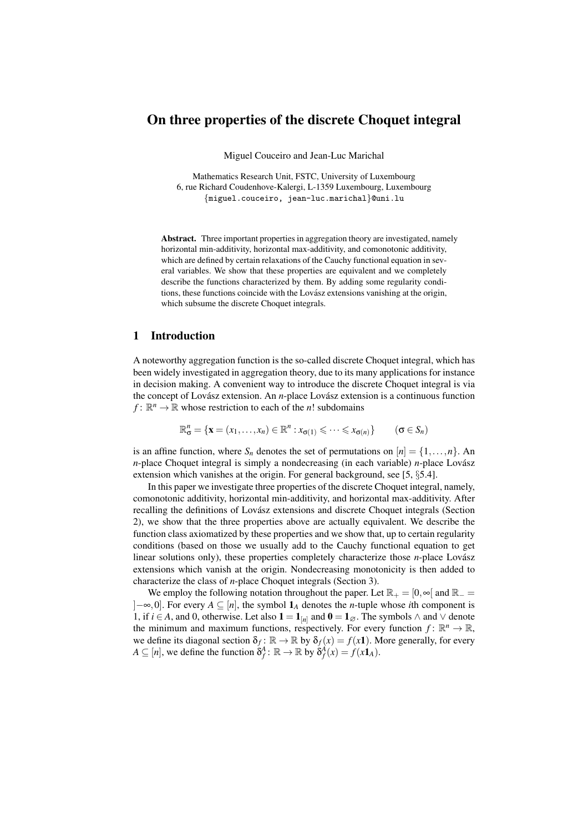# On three properties of the discrete Choquet integral

Miguel Couceiro and Jean-Luc Marichal

Mathematics Research Unit, FSTC, University of Luxembourg 6, rue Richard Coudenhove-Kalergi, L-1359 Luxembourg, Luxembourg {miguel.couceiro, jean-luc.marichal}@uni.lu

Abstract. Three important properties in aggregation theory are investigated, namely horizontal min-additivity, horizontal max-additivity, and comonotonic additivity, which are defined by certain relaxations of the Cauchy functional equation in several variables. We show that these properties are equivalent and we completely describe the functions characterized by them. By adding some regularity conditions, these functions coincide with the Lovász extensions vanishing at the origin, which subsume the discrete Choquet integrals.

### 1 Introduction

A noteworthy aggregation function is the so-called discrete Choquet integral, which has been widely investigated in aggregation theory, due to its many applications for instance in decision making. A convenient way to introduce the discrete Choquet integral is via the concept of Lovász extension. An *n*-place Lovász extension is a continuous function  $f: \mathbb{R}^n \to \mathbb{R}$  whose restriction to each of the *n*! subdomains

$$
\mathbb{R}^n_{\sigma} = \{ \mathbf{x} = (x_1, \dots, x_n) \in \mathbb{R}^n : x_{\sigma(1)} \leqslant \dots \leqslant x_{\sigma(n)} \} \qquad (\sigma \in S_n)
$$

is an affine function, where  $S_n$  denotes the set of permutations on  $[n] = \{1, \ldots, n\}$ . An *n*-place Choquet integral is simply a nondecreasing (in each variable) *n*-place Lovász extension which vanishes at the origin. For general background, see [5, §5.4].

In this paper we investigate three properties of the discrete Choquet integral, namely, comonotonic additivity, horizontal min-additivity, and horizontal max-additivity. After recalling the definitions of Lovász extensions and discrete Choquet integrals (Section 2), we show that the three properties above are actually equivalent. We describe the function class axiomatized by these properties and we show that, up to certain regularity conditions (based on those we usually add to the Cauchy functional equation to get linear solutions only), these properties completely characterize those *n*-place Lovász extensions which vanish at the origin. Nondecreasing monotonicity is then added to characterize the class of *n*-place Choquet integrals (Section 3).

We employ the following notation throughout the paper. Let  $\mathbb{R}_+ = [0, \infty)$  and  $\mathbb{R}_- =$ ]−∞,0]. For every *A* ⊆ [*n*], the symbol 1*<sup>A</sup>* denotes the *n*-tuple whose *i*th component is 1, if *i* ∈ *A*, and 0, otherwise. Let also  $1 = 1_{[n]}$  and  $0 = 1_{\emptyset}$ . The symbols  $\wedge$  and  $\vee$  denote the minimum and maximum functions, respectively. For every function  $f: \mathbb{R}^n \to \mathbb{R}$ , we define its diagonal section  $\delta_f : \mathbb{R} \to \mathbb{R}$  by  $\delta_f(x) = f(x)$ . More generally, for every  $A \subseteq [n]$ , we define the function  $\delta_f^A$ :  $\mathbb{R} \to \mathbb{R}$  by  $\delta_f^A(x) = f(x \mathbf{1}_A)$ .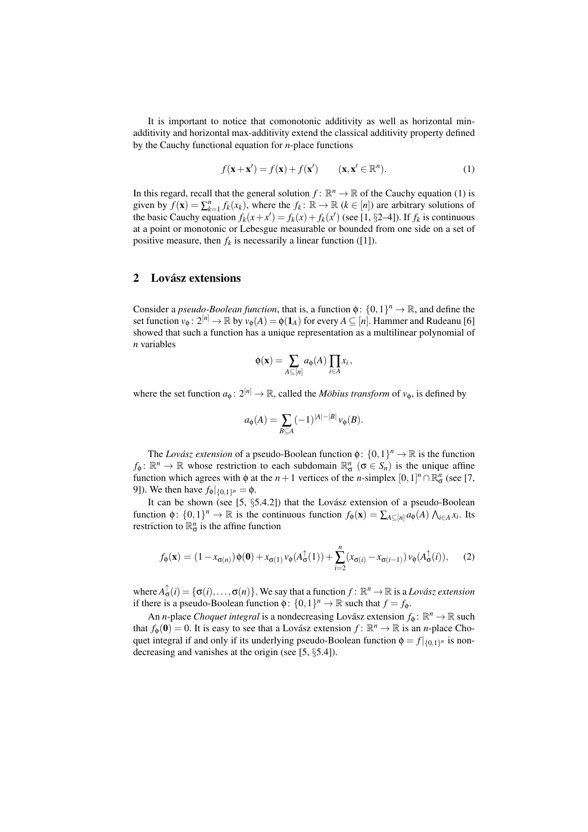It is important to notice that comonotonic additivity as well as horizontal minadditivity and horizontal max-additivity extend the classical additivity property defined by the Cauchy functional equation for *n*-place functions

$$
f(\mathbf{x} + \mathbf{x}') = f(\mathbf{x}) + f(\mathbf{x}') \qquad (\mathbf{x}, \mathbf{x}' \in \mathbb{R}^n). \tag{1}
$$

In this regard, recall that the general solution  $f: \mathbb{R}^n \to \mathbb{R}$  of the Cauchy equation (1) is given by  $f(\mathbf{x}) = \sum_{k=1}^{n} f_k(x_k)$ , where the  $f_k : \mathbb{R} \to \mathbb{R}$  ( $k \in [n]$ ) are arbitrary solutions of the basic Cauchy equation  $f_k(x + x') = f_k(x) + f_k(x')$  (see [1, §2–4]). If  $f_k$  is continuous at a point or monotonic or Lebesgue measurable or bounded from one side on a set of positive measure, then  $f_k$  is necessarily a linear function ([1]).

### 2 Lovász extensions

Consider a *pseudo-Boolean function*, that is, a function  $\phi$ :  $\{0,1\}^n \to \mathbb{R}$ , and define the set function  $v_{\phi}$ :  $2^{[n]} \to \mathbb{R}$  by  $v_{\phi}(A) = \phi(\mathbf{1}_A)$  for every  $A \subseteq [n]$ . Hammer and Rudeanu [6] showed that such a function has a unique representation as a multilinear polynomial of *n* variables

$$
\phi(\mathbf{x}) = \sum_{A \subseteq [n]} a_{\phi}(A) \prod_{i \in A} x_i,
$$

where the set function  $a_{\phi}: 2^{[n]} \to \mathbb{R}$ , called the *Möbius transform* of  $v_{\phi}$ , is defined by

$$
a_\phi(A)=\sum_{B\subseteq A}(-1)^{|A|-|B|}\,\nu_\phi(B).
$$

The *Lovász extension* of a pseudo-Boolean function  $\phi$ :  $\{0,1\}^n \to \mathbb{R}$  is the function  $f_{\phi} \colon \mathbb{R}^n \to \mathbb{R}$  whose restriction to each subdomain  $\mathbb{R}^n_{\sigma}$  ( $\sigma \in S_n$ ) is the unique affine function which agrees with  $\phi$  at the *n* + 1 vertices of the *n*-simplex  $[0,1]^n \cap \mathbb{R}^n_{\sigma}$  (see [7, 9]). We then have  $f_{\phi}|_{\{0,1\}^n} = \phi$ .

It can be shown (see  $[5, \S 5.4.2]$ ) that the Lovász extension of a pseudo-Boolean function  $\phi: \{0,1\}^n \to \mathbb{R}$  is the continuous function  $f_{\phi}(\mathbf{x}) = \sum_{A \subseteq [n]} a_{\phi}(A) \bigwedge_{i \in A} x_i$ . Its restriction to  $\mathbb{R}^n_{\sigma}$  is the affine function

$$
f_{\phi}(\mathbf{x}) = (1 - x_{\sigma(n)})\phi(\mathbf{0}) + x_{\sigma(1)}\nu_{\phi}(A_{\sigma}^{\uparrow}(1)) + \sum_{i=2}^{n} (x_{\sigma(i)} - x_{\sigma(i-1)})\nu_{\phi}(A_{\sigma}^{\uparrow}(i)), \quad (2)
$$

where  $A_{\sigma}^{\uparrow}(i) = {\{\sigma(i), \ldots, \sigma(n)\}}$ . We say that a function  $f: \mathbb{R}^n \to \mathbb{R}$  is a *Lovász extension* if there is a pseudo-Boolean function  $\phi$ :  $\{0,1\}^n \to \mathbb{R}$  such that  $f = f_{\phi}$ .

An *n*-place *Choquet integral* is a nondecreasing Lovász extension  $f_{\phi}$ :  $\mathbb{R}^n \to \mathbb{R}$  such that  $f_{\phi}(\mathbf{0}) = 0$ . It is easy to see that a Lovász extension  $f : \mathbb{R}^n \to \mathbb{R}$  is an *n*-place Choquet integral if and only if its underlying pseudo-Boolean function  $\phi = f|_{\{0,1\}^n}$  is nondecreasing and vanishes at the origin (see [5, §5.4]).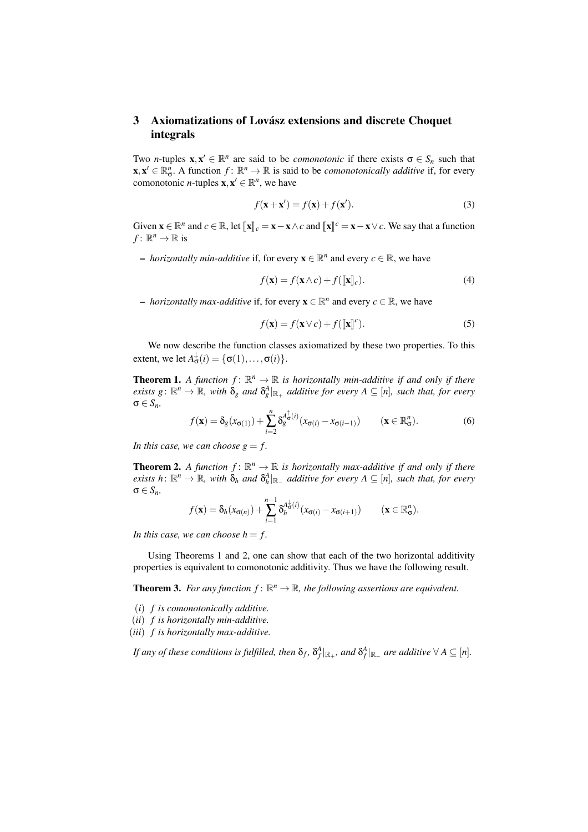## 3 Axiomatizations of Lovász extensions and discrete Choquet integrals

Two *n*-tuples  $x, x' \in \mathbb{R}^n$  are said to be *comonotonic* if there exists  $\sigma \in S_n$  such that  $\mathbf{x}, \mathbf{x}' \in \mathbb{R}_{\sigma}^n$ . A function  $f: \mathbb{R}^n \to \mathbb{R}$  is said to be *comonotonically additive* if, for every comonotonic *n*-tuples  $\mathbf{x}, \mathbf{x}' \in \mathbb{R}^n$ , we have

$$
f(\mathbf{x} + \mathbf{x}') = f(\mathbf{x}) + f(\mathbf{x}').
$$
\n(3)

Given  $\mathbf{x} \in \mathbb{R}^n$  and  $c \in \mathbb{R}$ , let  $[\![\mathbf{x}]\!]_c = \mathbf{x} - \mathbf{x} \wedge c$  and  $[\![\mathbf{x}]\!]^c = \mathbf{x} - \mathbf{x} \vee c$ . We say that a function  $f: \mathbb{R}^n \to \mathbb{R}$  is

*– horizontally min-additive* if, for every  $\mathbf{x} \in \mathbb{R}^n$  and every  $c \in \mathbb{R}$ , we have

$$
f(\mathbf{x}) = f(\mathbf{x} \wedge c) + f([\![\mathbf{x}]\!]_c). \tag{4}
$$

*– horizontally max-additive* if, for every  $\mathbf{x} \in \mathbb{R}^n$  and every  $c \in \mathbb{R}$ , we have

$$
f(\mathbf{x}) = f(\mathbf{x} \vee c) + f([\![\mathbf{x}]\!]^c). \tag{5}
$$

We now describe the function classes axiomatized by these two properties. To this extent, we let  $A^{\downarrow}_{\sigma}(i) = \{\sigma(1), \ldots, \sigma(i)\}.$ 

**Theorem 1.** A function  $f: \mathbb{R}^n \to \mathbb{R}$  is horizontally min-additive if and only if there  $e$ *xists*  $g: \mathbb{R}^n \to \mathbb{R}$ *, with*  $\delta_g$  *and*  $\delta_g^A|_{\mathbb{R}_+}$  *additive for every*  $A \subseteq [n]$ *, such that, for every* σ ∈ *Sn,*

$$
f(\mathbf{x}) = \delta_g(x_{\sigma(1)}) + \sum_{i=2}^n \delta_g^{A_{\sigma}^{\dagger}(i)}(x_{\sigma(i)} - x_{\sigma(i-1)}) \qquad (\mathbf{x} \in \mathbb{R}_{\sigma}^n).
$$
 (6)

In this case, we can choose  $g = f$ .

**Theorem 2.** A function  $f: \mathbb{R}^n \to \mathbb{R}$  is horizontally max-additive if and only if there  $e$ *xists*  $h: \mathbb{R}^n \to \mathbb{R}$ *, with*  $\delta_h$  *and*  $\delta_h^A|_{\mathbb{R}_+}$  *additive for every*  $A \subseteq [n]$ *, such that, for every* σ ∈ *Sn,*

$$
f(\mathbf{x}) = \delta_h(x_{\sigma(n)}) + \sum_{i=1}^{n-1} \delta_h^{A_{\sigma}^{\downarrow}(i)}(x_{\sigma(i)} - x_{\sigma(i+1)}) \qquad (\mathbf{x} \in \mathbb{R}_{\sigma}^n).
$$

In this case, we can choose  $h = f$ .

Using Theorems 1 and 2, one can show that each of the two horizontal additivity properties is equivalent to comonotonic additivity. Thus we have the following result.

**Theorem 3.** For any function  $f: \mathbb{R}^n \to \mathbb{R}$ , the following assertions are equivalent.

- (*i*) *f is comonotonically additive.*
- (*ii*) *f is horizontally min-additive.*
- (*iii*) *f is horizontally max-additive.*

*If any of these conditions is fulfilled, then*  $\delta_f$ *,*  $\delta_f^A|_{\mathbb{R}_+}$ *, and*  $\delta_f^A|_{\mathbb{R}_-}$  *are additive*  $\forall A \subseteq [n]$ *.*